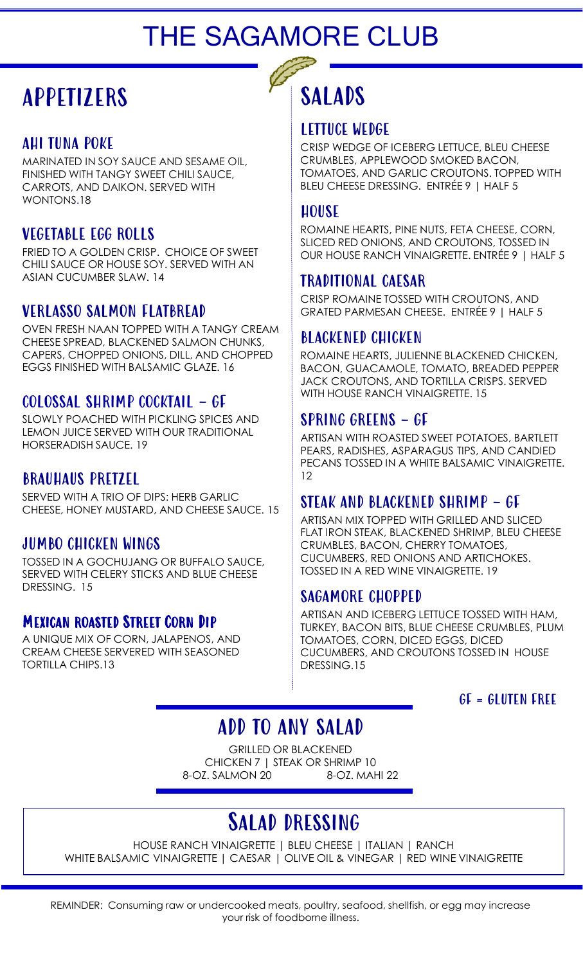# THE SAGAMORE CLUB

# **APPETIZERS**

# AHI TUNA POKE

MARINATED IN SOY SAUCE AND SESAME OIL, FINISHED WITH TANGY SWEET CHILI SAUCE, CARROTS, AND DAIKON. SERVED WITH WONTONS.18

# VEGETABLE EGG ROLLS

FRIED TO A GOLDEN CRISP. CHOICE OF SWEET CHILI SAUCE OR HOUSE SOY. SERVED WITH AN ASIAN CUCUMBER SLAW. 14

# VERLASSO SALMON FLATBREAD

OVEN FRESH NAAN TOPPED WITH A TANGY CREAM CHEESE SPREAD, BLACKENED SALMON CHUNKS, CAPERS, CHOPPED ONIONS, DILL, AND CHOPPED EGGS FINISHED WITH BALSAMIC GLAZE. 16

# COLOSSAL SHRIMP COCKTAIL - GF

SLOWLY POACHED WITH PICKLING SPICES AND LEMON JUICE SERVED WITH OUR TRADITIONAL HORSERADISH SAUCE. 19

#### BRAUHAUS PRETZEL

SERVED WITH A TRIO OF DIPS: HERB GARLIC CHEESE, HONEY MUSTARD, AND CHEESE SAUCE. 15

## JUMBO CHICKEN WINGS

TOSSED IN A GOCHUJANG OR BUFFALO SAUCE, SERVED WITH CELERY STICKS AND BLUE CHEESE DRESSING. 15

## Mexican roasted Street Corn Dip

A UNIQUE MIX OF CORN, JALAPENOS, AND CREAM CHEESE SERVERED WITH SEASONED TORTILLA CHIPS.13

# SALADS

#### LETTUCE WEDGE

CRISP WEDGE OF ICEBERG LETTUCE, BLEU CHEESE CRUMBLES, APPLEWOOD SMOKED BACON, TOMATOES, AND GARLIC CROUTONS. TOPPED WITH BLEU CHEESE DRESSING. ENTRÉE 9 | HALF 5

#### HOUSE

ROMAINE HEARTS, PINE NUTS, FETA CHEESE, CORN, SLICED RED ONIONS, AND CROUTONS, TOSSED IN OUR HOUSE RANCH VINAIGRETTE. ENTRÉE 9 | HALF 5

## TRADITIONAL CAESAR

CRISP ROMAINE TOSSED WITH CROUTONS, AND GRATED PARMESAN CHEESE. ENTRÉE 9 | HALF 5

#### BLACKENED CHICKEN

ROMAINE HEARTS, JULIENNE BLACKENED CHICKEN, BACON, GUACAMOLE, TOMATO, BREADED PEPPER JACK CROUTONS, AND TORTILLA CRISPS. SERVED WITH HOUSE RANCH VINAIGRETTE. 15

## SPRING GREENS - GF

ARTISAN WITH ROASTED SWEET POTATOES, BARTLETT PEARS, RADISHES, ASPARAGUS TIPS, AND CANDIED PECANS TOSSED IN A WHITE BALSAMIC VINAIGRETTE. 12

#### STEAK AND BLACKENED SHRIMP - GF

ARTISAN MIX TOPPED WITH GRILLED AND SLICED FLAT IRON STEAK, BLACKENED SHRIMP, BLEU CHEESE CRUMBLES, BACON, CHERRY TOMATOES, CUCUMBERS, RED ONIONS AND ARTICHOKES. TOSSED IN A RED WINE VINAIGRETTE. 19

## SAGAMORE CHOPPED

ARTISAN AND ICEBERG LETTUCE TOSSED WITH HAM, TURKEY, BACON BITS, BLUE CHEESE CRUMBLES, PLUM TOMATOES, CORN, DICED EGGS, DICED CUCUMBERS, AND CROUTONS TOSSED IN HOUSE DRESSING.15

#### GF = GLUTEN FREE

# add to any salad

GRILLED OR BLACKENED CHICKEN 7 | STEAK OR SHRIMP 10 8-OZ. SALMON 20 8-OZ. MAHI 22

# Salad dressing

HOUSE RANCH VINAIGRETTE | BLEU CHEESE | ITALIAN | RANCH WHITE BALSAMIC VINAIGRETTE | CAESAR | OLIVE OIL & VINEGAR | RED WINE VINAIGRETTE

REMINDER: Consuming raw or undercooked meats, poultry, seafood, shellfish, or egg may increase your risk of foodborne illness.